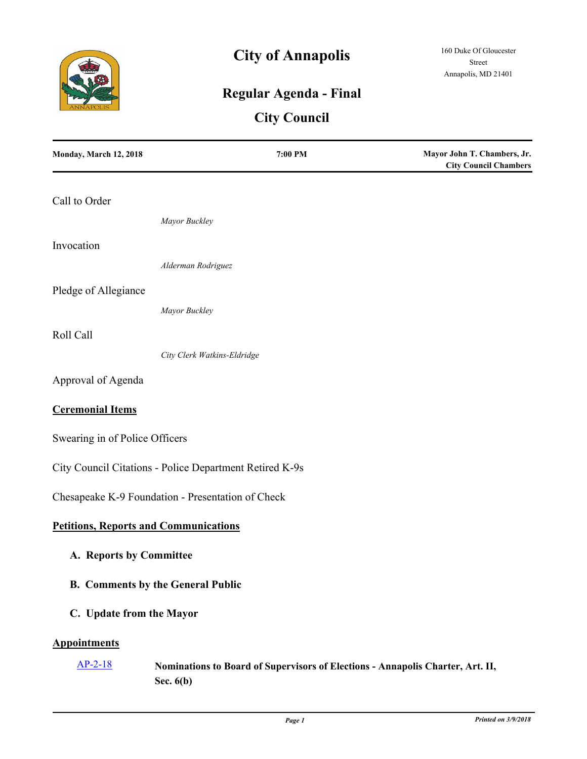

# **City of Annapolis**

## **Regular Agenda - Final**

## **City Council**

| Monday, March 12, 2018                       | 7:00 PM                                                                                       | Mayor John T. Chambers, Jr.<br><b>City Council Chambers</b> |
|----------------------------------------------|-----------------------------------------------------------------------------------------------|-------------------------------------------------------------|
| Call to Order                                |                                                                                               |                                                             |
|                                              | Mayor Buckley                                                                                 |                                                             |
| Invocation                                   |                                                                                               |                                                             |
|                                              | Alderman Rodriguez                                                                            |                                                             |
| Pledge of Allegiance                         |                                                                                               |                                                             |
|                                              | Mayor Buckley                                                                                 |                                                             |
| Roll Call                                    | City Clerk Watkins-Eldridge                                                                   |                                                             |
| Approval of Agenda                           |                                                                                               |                                                             |
| <b>Ceremonial Items</b>                      |                                                                                               |                                                             |
| Swearing in of Police Officers               |                                                                                               |                                                             |
|                                              | City Council Citations - Police Department Retired K-9s                                       |                                                             |
|                                              | Chesapeake K-9 Foundation - Presentation of Check                                             |                                                             |
| <b>Petitions, Reports and Communications</b> |                                                                                               |                                                             |
| A. Reports by Committee                      |                                                                                               |                                                             |
|                                              | <b>B.</b> Comments by the General Public                                                      |                                                             |
| C. Update from the Mayor                     |                                                                                               |                                                             |
| <b>Appointments</b>                          |                                                                                               |                                                             |
| $AP-2-18$                                    | Nominations to Board of Supervisors of Elections - Annapolis Charter, Art. II,<br>Sec. $6(b)$ |                                                             |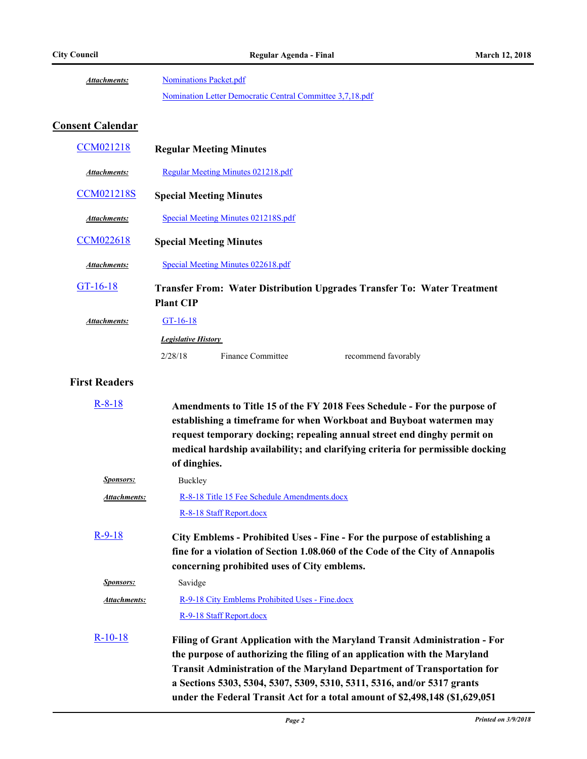[Nominations Packet.pdf](http://annapolismd.legistar.com/gateway.aspx?M=F&ID=5af65555-7912-40d7-a555-21880de726fb.pdf) [Nomination Letter Democratic Central Committee 3,7,18.pdf](http://annapolismd.legistar.com/gateway.aspx?M=F&ID=32978684-107c-4e56-bd1c-f42dfa8532f7.pdf) *Attachments:*

## **Consent Calendar**

| <b>CCM021218</b>    |                            | <b>Regular Meeting Minutes</b>      |                                                                                |
|---------------------|----------------------------|-------------------------------------|--------------------------------------------------------------------------------|
| Attachments:        |                            | Regular Meeting Minutes 021218.pdf  |                                                                                |
| <b>CCM021218S</b>   |                            | <b>Special Meeting Minutes</b>      |                                                                                |
| Attachments:        |                            | Special Meeting Minutes 021218S.pdf |                                                                                |
| <b>CCM022618</b>    |                            | <b>Special Meeting Minutes</b>      |                                                                                |
| Attachments:        |                            | Special Meeting Minutes 022618.pdf  |                                                                                |
| GT-16-18            | <b>Plant CIP</b>           |                                     | <b>Transfer From: Water Distribution Upgrades Transfer To: Water Treatment</b> |
| <b>Attachments:</b> | $GT-16-18$                 |                                     |                                                                                |
|                     | <b>Legislative History</b> |                                     |                                                                                |
|                     | 2/28/18                    | Finance Committee                   | recommend favorably                                                            |

#### **First Readers**

| $R - 8 - 18$     | Amendments to Title 15 of the FY 2018 Fees Schedule - For the purpose of<br>establishing a timeframe for when Workboat and Buyboat watermen may<br>request temporary docking; repealing annual street end dinghy permit on<br>medical hardship availability; and clarifying criteria for permissible docking<br>of dinghies.                                                                          |
|------------------|-------------------------------------------------------------------------------------------------------------------------------------------------------------------------------------------------------------------------------------------------------------------------------------------------------------------------------------------------------------------------------------------------------|
| <b>Sponsors:</b> | Buckley                                                                                                                                                                                                                                                                                                                                                                                               |
| Attachments:     | R-8-18 Title 15 Fee Schedule Amendments.docx                                                                                                                                                                                                                                                                                                                                                          |
|                  | R-8-18 Staff Report.docx                                                                                                                                                                                                                                                                                                                                                                              |
| $R-9-18$         | City Emblems - Prohibited Uses - Fine - For the purpose of establishing a<br>fine for a violation of Section 1.08.060 of the Code of the City of Annapolis<br>concerning prohibited uses of City emblems.                                                                                                                                                                                             |
| Sponsors:        | Savidge                                                                                                                                                                                                                                                                                                                                                                                               |
| Attachments:     | R-9-18 City Emblems Prohibited Uses - Fine.docx                                                                                                                                                                                                                                                                                                                                                       |
|                  | R-9-18 Staff Report.docx                                                                                                                                                                                                                                                                                                                                                                              |
| $R-10-18$        | Filing of Grant Application with the Maryland Transit Administration - For<br>the purpose of authorizing the filing of an application with the Maryland<br><b>Transit Administration of the Maryland Department of Transportation for</b><br>a Sections 5303, 5304, 5307, 5309, 5310, 5311, 5316, and/or 5317 grants<br>under the Federal Transit Act for a total amount of \$2,498,148 (\$1,629,051) |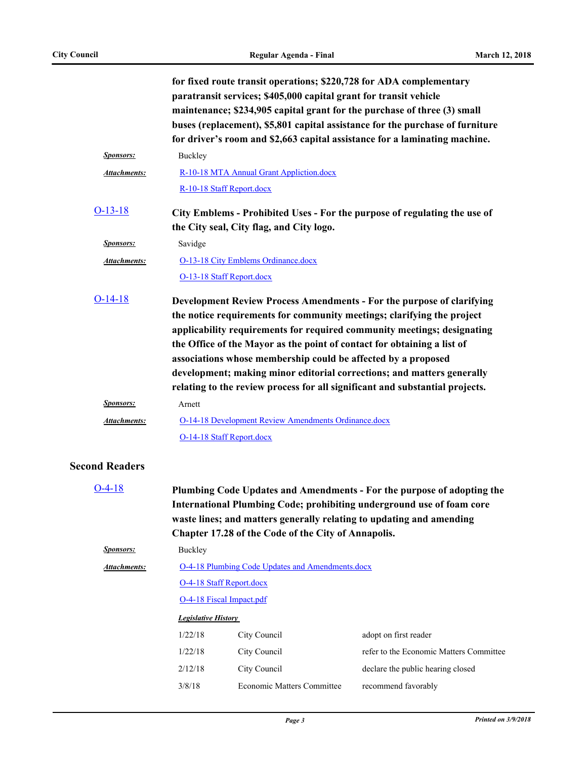|                              |                                                                                                                       | for fixed route transit operations; \$220,728 for ADA complementary<br>paratransit services; \$405,000 capital grant for transit vehicle<br>maintenance; \$234,905 capital grant for the purchase of three (3) small | buses (replacement), \$5,801 capital assistance for the purchase of furniture<br>for driver's room and \$2,663 capital assistance for a laminating machine.                                                                                                                                                |  |
|------------------------------|-----------------------------------------------------------------------------------------------------------------------|----------------------------------------------------------------------------------------------------------------------------------------------------------------------------------------------------------------------|------------------------------------------------------------------------------------------------------------------------------------------------------------------------------------------------------------------------------------------------------------------------------------------------------------|--|
| <b>Sponsors:</b>             | Buckley                                                                                                               |                                                                                                                                                                                                                      |                                                                                                                                                                                                                                                                                                            |  |
| Attachments:                 |                                                                                                                       | R-10-18 MTA Annual Grant Appliction.docx                                                                                                                                                                             |                                                                                                                                                                                                                                                                                                            |  |
|                              |                                                                                                                       | R-10-18 Staff Report.docx                                                                                                                                                                                            |                                                                                                                                                                                                                                                                                                            |  |
| $O-13-18$                    | City Emblems - Prohibited Uses - For the purpose of regulating the use of<br>the City seal, City flag, and City logo. |                                                                                                                                                                                                                      |                                                                                                                                                                                                                                                                                                            |  |
| <b>Sponsors:</b>             | Savidge                                                                                                               |                                                                                                                                                                                                                      |                                                                                                                                                                                                                                                                                                            |  |
| <b>Attachments:</b>          |                                                                                                                       | O-13-18 City Emblems Ordinance.docx                                                                                                                                                                                  |                                                                                                                                                                                                                                                                                                            |  |
|                              |                                                                                                                       | O-13-18 Staff Report.docx                                                                                                                                                                                            |                                                                                                                                                                                                                                                                                                            |  |
| $O-14-18$                    |                                                                                                                       | the notice requirements for community meetings; clarifying the project<br>the Office of the Mayor as the point of contact for obtaining a list of<br>associations whose membership could be affected by a proposed   | Development Review Process Amendments - For the purpose of clarifying<br>applicability requirements for required community meetings; designating<br>development; making minor editorial corrections; and matters generally<br>relating to the review process for all significant and substantial projects. |  |
| <b>Sponsors:</b>             | Arnett                                                                                                                |                                                                                                                                                                                                                      |                                                                                                                                                                                                                                                                                                            |  |
| Attachments:                 |                                                                                                                       | <b>O-14-18 Development Review Amendments Ordinance.docx</b>                                                                                                                                                          |                                                                                                                                                                                                                                                                                                            |  |
|                              |                                                                                                                       | O-14-18 Staff Report.docx                                                                                                                                                                                            |                                                                                                                                                                                                                                                                                                            |  |
| <b>Second Readers</b>        |                                                                                                                       |                                                                                                                                                                                                                      |                                                                                                                                                                                                                                                                                                            |  |
| $O-4-18$<br><b>Sponsors:</b> |                                                                                                                       | waste lines; and matters generally relating to updating and amending<br>Chapter 17.28 of the Code of the City of Annapolis.                                                                                          | Plumbing Code Updates and Amendments - For the purpose of adopting the<br>International Plumbing Code; prohibiting underground use of foam core                                                                                                                                                            |  |
|                              | Buckley                                                                                                               |                                                                                                                                                                                                                      |                                                                                                                                                                                                                                                                                                            |  |
| <b>Attachments:</b>          | <b>O-4-18 Plumbing Code Updates and Amendments.docx</b><br>O-4-18 Staff Report.docx                                   |                                                                                                                                                                                                                      |                                                                                                                                                                                                                                                                                                            |  |
|                              | O-4-18 Fiscal Impact.pdf                                                                                              |                                                                                                                                                                                                                      |                                                                                                                                                                                                                                                                                                            |  |
|                              | <b>Legislative History</b>                                                                                            |                                                                                                                                                                                                                      |                                                                                                                                                                                                                                                                                                            |  |
|                              | 1/22/18                                                                                                               | City Council                                                                                                                                                                                                         | adopt on first reader                                                                                                                                                                                                                                                                                      |  |
|                              | 1/22/18                                                                                                               | City Council                                                                                                                                                                                                         | refer to the Economic Matters Committee                                                                                                                                                                                                                                                                    |  |
|                              | 2/12/18                                                                                                               | City Council                                                                                                                                                                                                         | declare the public hearing closed                                                                                                                                                                                                                                                                          |  |
|                              | 3/8/18                                                                                                                | Economic Matters Committee                                                                                                                                                                                           | recommend favorably                                                                                                                                                                                                                                                                                        |  |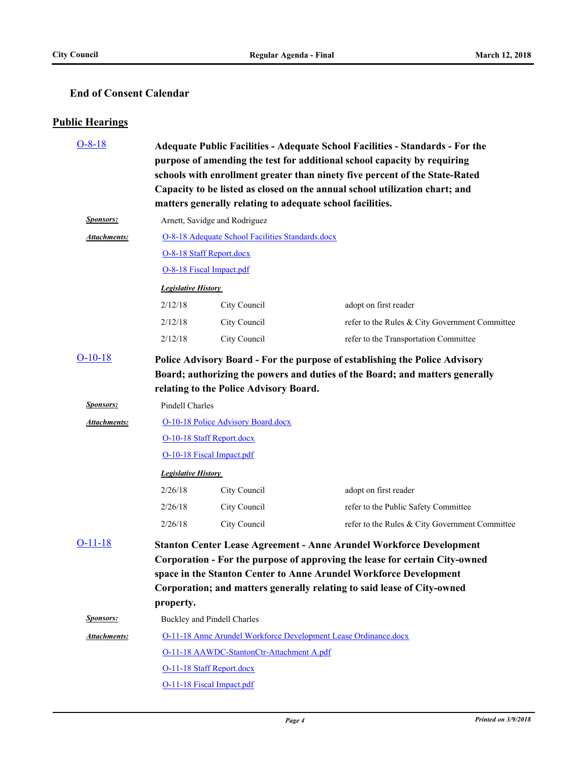### **End of Consent Calendar**

### **Public Hearings**

| $O-8-18$            | Adequate Public Facilities - Adequate School Facilities - Standards - For the                                                                              |                                                                 |                                                                              |  |
|---------------------|------------------------------------------------------------------------------------------------------------------------------------------------------------|-----------------------------------------------------------------|------------------------------------------------------------------------------|--|
|                     | purpose of amending the test for additional school capacity by requiring                                                                                   |                                                                 |                                                                              |  |
|                     | schools with enrollment greater than ninety five percent of the State-Rated<br>Capacity to be listed as closed on the annual school utilization chart; and |                                                                 |                                                                              |  |
|                     | matters generally relating to adequate school facilities.                                                                                                  |                                                                 |                                                                              |  |
| <b>Sponsors:</b>    |                                                                                                                                                            | Arnett, Savidge and Rodriguez                                   |                                                                              |  |
| <b>Attachments:</b> |                                                                                                                                                            | O-8-18 Adequate School Facilities Standards.docx                |                                                                              |  |
|                     |                                                                                                                                                            | O-8-18 Staff Report.docx                                        |                                                                              |  |
|                     |                                                                                                                                                            | O-8-18 Fiscal Impact.pdf                                        |                                                                              |  |
|                     | <b>Legislative History</b>                                                                                                                                 |                                                                 |                                                                              |  |
|                     | 2/12/18                                                                                                                                                    | City Council                                                    | adopt on first reader                                                        |  |
|                     | 2/12/18                                                                                                                                                    | City Council                                                    | refer to the Rules & City Government Committee                               |  |
|                     | 2/12/18                                                                                                                                                    | City Council                                                    | refer to the Transportation Committee                                        |  |
| $O-10-18$           |                                                                                                                                                            |                                                                 | Police Advisory Board - For the purpose of establishing the Police Advisory  |  |
|                     |                                                                                                                                                            |                                                                 | Board; authorizing the powers and duties of the Board; and matters generally |  |
|                     | relating to the Police Advisory Board.                                                                                                                     |                                                                 |                                                                              |  |
| <b>Sponsors:</b>    | Pindell Charles                                                                                                                                            |                                                                 |                                                                              |  |
| Attachments:        |                                                                                                                                                            | O-10-18 Police Advisory Board.docx                              |                                                                              |  |
|                     | O-10-18 Staff Report.docx                                                                                                                                  |                                                                 |                                                                              |  |
|                     | O-10-18 Fiscal Impact.pdf                                                                                                                                  |                                                                 |                                                                              |  |
|                     | <b>Legislative History</b>                                                                                                                                 |                                                                 |                                                                              |  |
|                     | 2/26/18                                                                                                                                                    | City Council                                                    | adopt on first reader                                                        |  |
|                     | 2/26/18                                                                                                                                                    | City Council                                                    | refer to the Public Safety Committee                                         |  |
|                     | 2/26/18                                                                                                                                                    | City Council                                                    | refer to the Rules & City Government Committee                               |  |
| $O-11-18$           |                                                                                                                                                            |                                                                 | <b>Stanton Center Lease Agreement - Anne Arundel Workforce Development</b>   |  |
|                     | Corporation - For the purpose of approving the lease for certain City-owned<br>space in the Stanton Center to Anne Arundel Workforce Development           |                                                                 |                                                                              |  |
|                     |                                                                                                                                                            |                                                                 |                                                                              |  |
|                     |                                                                                                                                                            |                                                                 | Corporation; and matters generally relating to said lease of City-owned      |  |
|                     | property.                                                                                                                                                  |                                                                 |                                                                              |  |
| <b>Sponsors:</b>    | <b>Buckley and Pindell Charles</b>                                                                                                                         |                                                                 |                                                                              |  |
| <b>Attachments:</b> |                                                                                                                                                            | O-11-18 Anne Arundel Workforce Development Lease Ordinance.docx |                                                                              |  |
|                     |                                                                                                                                                            | O-11-18 AAWDC-StantonCtr-Attachment A.pdf                       |                                                                              |  |
|                     | O-11-18 Staff Report.docx                                                                                                                                  |                                                                 |                                                                              |  |
|                     |                                                                                                                                                            | O-11-18 Fiscal Impact.pdf                                       |                                                                              |  |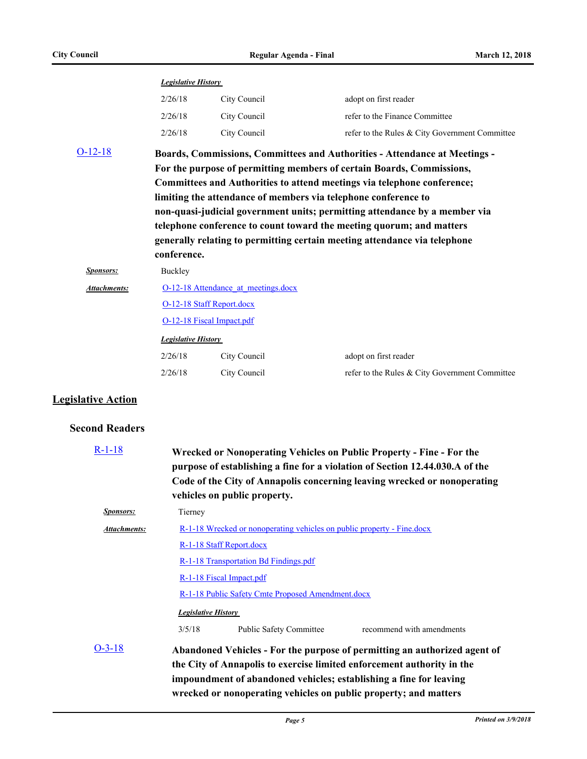|                     | <b>Legislative History</b>                                                        |              |                                                |  |
|---------------------|-----------------------------------------------------------------------------------|--------------|------------------------------------------------|--|
|                     | 2/26/18                                                                           | City Council | adopt on first reader                          |  |
|                     | 2/26/18                                                                           | City Council | refer to the Finance Committee                 |  |
|                     | 2/26/18                                                                           | City Council | refer to the Rules & City Government Committee |  |
| $O-12-18$           | <b>Boards, Commissions, Committees and Authorities - Attendance at Meetings -</b> |              |                                                |  |
|                     | For the purpose of permitting members of certain Boards, Commissions,             |              |                                                |  |
|                     | Committees and Authorities to attend meetings via telephone conference;           |              |                                                |  |
|                     | limiting the attendance of members via telephone conference to                    |              |                                                |  |
|                     | non-quasi-judicial government units; permitting attendance by a member via        |              |                                                |  |
|                     | telephone conference to count toward the meeting quorum; and matters              |              |                                                |  |
|                     | generally relating to permitting certain meeting attendance via telephone         |              |                                                |  |
|                     | conference.                                                                       |              |                                                |  |
| <b>Sponsors:</b>    | Buckley                                                                           |              |                                                |  |
| <b>Attachments:</b> | O-12-18 Attendance at meetings.docx                                               |              |                                                |  |
|                     | O-12-18 Staff Report.docx                                                         |              |                                                |  |
|                     | O-12-18 Fiscal Impact.pdf                                                         |              |                                                |  |
|                     | <b>Legislative History</b>                                                        |              |                                                |  |
|                     | 2/26/18                                                                           | City Council | adopt on first reader                          |  |
|                     | 2/26/18                                                                           | City Council | refer to the Rules & City Government Committee |  |
|                     |                                                                                   |              |                                                |  |

### **Legislative Action**

#### **Second Readers**

| $R-1-18$         | Wrecked or Nonoperating Vehicles on Public Property - Fine - For the<br>purpose of establishing a fine for a violation of Section 12.44.030.A of the<br>Code of the City of Annapolis concerning leaving wrecked or nonoperating<br>vehicles on public property. |  |  |
|------------------|------------------------------------------------------------------------------------------------------------------------------------------------------------------------------------------------------------------------------------------------------------------|--|--|
| <b>Sponsors:</b> | Tierney                                                                                                                                                                                                                                                          |  |  |
| Attachments:     | <u>R-1-18 Wrecked or nonoperating vehicles on public property - Fine.docx</u><br>R-1-18 Staff Report.docx<br>R-1-18 Transportation Bd Findings.pdf<br>R-1-18 Fiscal Impact.pdf                                                                                   |  |  |
|                  |                                                                                                                                                                                                                                                                  |  |  |
|                  |                                                                                                                                                                                                                                                                  |  |  |
|                  |                                                                                                                                                                                                                                                                  |  |  |
|                  | R-1-18 Public Safety Cmte Proposed Amendment.docx                                                                                                                                                                                                                |  |  |
|                  | <b>Legislative History</b>                                                                                                                                                                                                                                       |  |  |
|                  | 3/5/18<br>Public Safety Committee<br>recommend with amendments                                                                                                                                                                                                   |  |  |
| $O-3-18$         | Abandoned Vehicles - For the purpose of permitting an authorized agent of<br>the City of Annapolis to exercise limited enforcement authority in the<br>impoundment of abandoned vehicles; establishing a fine for leaving                                        |  |  |

**wrecked or nonoperating vehicles on public property; and matters**